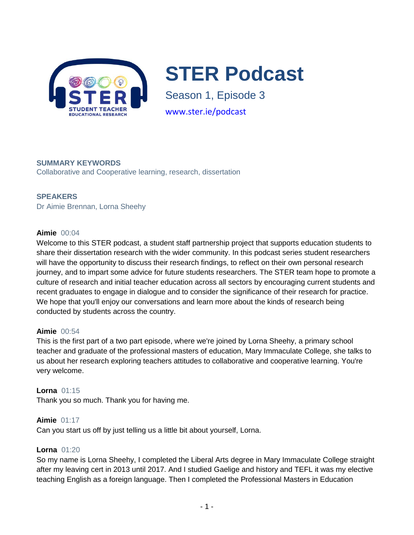

**STER Podcast** 

Season 1, Episode 3 www.ster.ie/podcast

# **SUMMARY KEYWORDS**

Collaborative and Cooperative learning, research, dissertation

# **SPEAKERS**

Dr Aimie Brennan, Lorna Sheehy

# **Aimie** 00:04

Welcome to this STER podcast, a student staff partnership project that supports education students to share their dissertation research with the wider community. In this podcast series student researchers will have the opportunity to discuss their research findings, to reflect on their own personal research journey, and to impart some advice for future students researchers. The STER team hope to promote a culture of research and initial teacher education across all sectors by encouraging current students and recent graduates to engage in dialogue and to consider the significance of their research for practice. We hope that you'll enjoy our conversations and learn more about the kinds of research being conducted by students across the country.

#### **Aimie** 00:54

This is the first part of a two part episode, where we're joined by Lorna Sheehy, a primary school teacher and graduate of the professional masters of education, Mary Immaculate College, she talks to us about her research exploring teachers attitudes to collaborative and cooperative learning. You're very welcome.

# **Lorna** 01:15 Thank you so much. Thank you for having me.

**Aimie** 01:17

Can you start us off by just telling us a little bit about yourself, Lorna.

# **Lorna** 01:20

So my name is Lorna Sheehy, I completed the Liberal Arts degree in Mary Immaculate College straight after my leaving cert in 2013 until 2017. And I studied Gaelige and history and TEFL it was my elective teaching English as a foreign language. Then I completed the Professional Masters in Education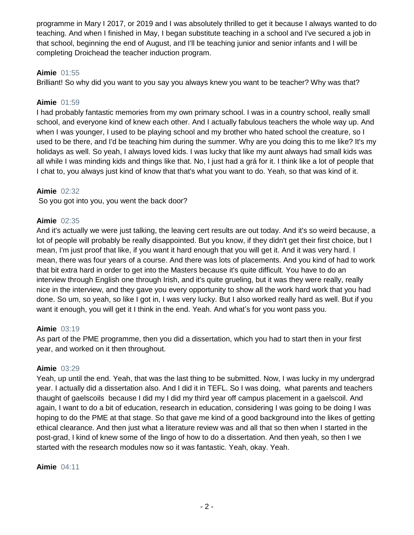programme in Mary I 2017, or 2019 and I was absolutely thrilled to get it because I always wanted to do teaching. And when I finished in May, I began substitute teaching in a school and I've secured a job in that school, beginning the end of August, and I'll be teaching junior and senior infants and I will be completing Droichead the teacher induction program.

# **Aimie** 01:55

Brilliant! So why did you want to you say you always knew you want to be teacher? Why was that?

#### **Aimie** 01:59

I had probably fantastic memories from my own primary school. I was in a country school, really small school, and everyone kind of knew each other. And I actually fabulous teachers the whole way up. And when I was younger, I used to be playing school and my brother who hated school the creature, so I used to be there, and I'd be teaching him during the summer. Why are you doing this to me like? It's my holidays as well. So yeah, I always loved kids. I was lucky that like my aunt always had small kids was all while I was minding kids and things like that. No, I just had a grá for it. I think like a lot of people that I chat to, you always just kind of know that that's what you want to do. Yeah, so that was kind of it.

# **Aimie** 02:32

So you got into you, you went the back door?

#### **Aimie** 02:35

And it's actually we were just talking, the leaving cert results are out today. And it's so weird because, a lot of people will probably be really disappointed. But you know, if they didn't get their first choice, but I mean, I'm just proof that like, if you want it hard enough that you will get it. And it was very hard. I mean, there was four years of a course. And there was lots of placements. And you kind of had to work that bit extra hard in order to get into the Masters because it's quite difficult. You have to do an interview through English one through Irish, and it's quite grueling, but it was they were really, really nice in the interview, and they gave you every opportunity to show all the work hard work that you had done. So um, so yeah, so like I got in, I was very lucky. But I also worked really hard as well. But if you want it enough, you will get it I think in the end. Yeah. And what's for you wont pass you.

#### **Aimie** 03:19

As part of the PME programme, then you did a dissertation, which you had to start then in your first year, and worked on it then throughout.

#### **Aimie** 03:29

Yeah, up until the end. Yeah, that was the last thing to be submitted. Now, I was lucky in my undergrad year. I actually did a dissertation also. And I did it in TEFL. So I was doing, what parents and teachers thaught of gaelscoils because I did my I did my third year off campus placement in a gaelscoil. And again, I want to do a bit of education, research in education, considering I was going to be doing I was hoping to do the PME at that stage. So that gave me kind of a good background into the likes of getting ethical clearance. And then just what a literature review was and all that so then when I started in the post-grad, I kind of knew some of the lingo of how to do a dissertation. And then yeah, so then I we started with the research modules now so it was fantastic. Yeah, okay. Yeah.

#### **Aimie** 04:11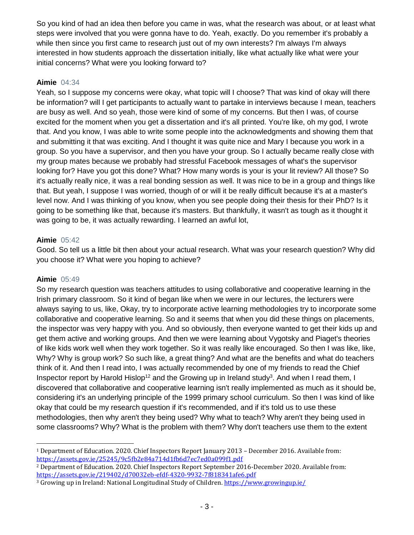So you kind of had an idea then before you came in was, what the research was about, or at least what steps were involved that you were gonna have to do. Yeah, exactly. Do you remember it's probably a while then since you first came to research just out of my own interests? I'm always I'm always interested in how students approach the dissertation initially, like what actually like what were your initial concerns? What were you looking forward to?

#### **Aimie** 04:34

Yeah, so I suppose my concerns were okay, what topic will I choose? That was kind of okay will there be information? will I get participants to actually want to partake in interviews because I mean, teachers are busy as well. And so yeah, those were kind of some of my concerns. But then I was, of course excited for the moment when you get a dissertation and it's all printed. You're like, oh my god, I wrote that. And you know, I was able to write some people into the acknowledgments and showing them that and submitting it that was exciting. And I thought it was quite nice and Mary I because you work in a group. So you have a supervisor, and then you have your group. So I actually became really close with my group mates because we probably had stressful Facebook messages of what's the supervisor looking for? Have you got this done? What? How many words is your is your lit review? All those? So it's actually really nice, it was a real bonding session as well. It was nice to be in a group and things like that. But yeah, I suppose I was worried, though of or will it be really difficult because it's at a master's level now. And I was thinking of you know, when you see people doing their thesis for their PhD? Is it going to be something like that, because it's masters. But thankfully, it wasn't as tough as it thought it was going to be, it was actually rewarding. I learned an awful lot,

#### **Aimie** 05:42

Good. So tell us a little bit then about your actual research. What was your research question? Why did you choose it? What were you hoping to achieve?

#### **Aimie** 05:49

 $\overline{\phantom{0}}$ 

So my research question was teachers attitudes to using collaborative and cooperative learning in the Irish primary classroom. So it kind of began like when we were in our lectures, the lecturers were always saying to us, like, Okay, try to incorporate active learning methodologies try to incorporate some collaborative and cooperative learning. So and it seems that when you did these things on placements, the inspector was very happy with you. And so obviously, then everyone wanted to get their kids up and get them active and working groups. And then we were learning about Vygotsky and Piaget's theories of like kids work well when they work together. So it was really like encouraged. So then I was like, like, Why? Why is group work? So such like, a great thing? And what are the benefits and what do teachers think of it. And then I read into, I was actually recommended by one of my friends to read the Chief Inspector report by Harold Hislop<sup>12</sup> and the Growing up in Ireland study<sup>3</sup>. And when I read them, I discovered that collaborative and cooperative learning isn't really implemented as much as it should be, considering it's an underlying principle of the 1999 primary school curriculum. So then I was kind of like okay that could be my research question if it's recommended, and if it's told us to use these methodologies, then why aren't they being used? Why what to teach? Why aren't they being used in some classrooms? Why? What is the problem with them? Why don't teachers use them to the extent

<sup>1</sup> Department of Education. 2020. Chief Inspectors Report January 2013 – December 2016. Available from: <https://assets.gov.ie/25245/9c5fb2e84a714d1fb6d7ec7ed0a099f1.pdf>

<sup>2</sup> Department of Education. 2020. Chief Inspectors Report September 2016-December 2020. Available from: <https://assets.gov.ie/219402/d70032eb-efdf-4320-9932-7f818341afe6.pdf>

<sup>3</sup> Growing up in Ireland: National Longitudinal Study of Children[. https://www.growingup.ie/](https://www.growingup.ie/)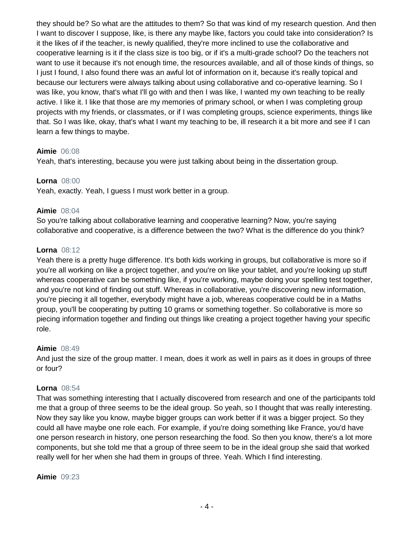they should be? So what are the attitudes to them? So that was kind of my research question. And then I want to discover I suppose, like, is there any maybe like, factors you could take into consideration? Is it the likes of if the teacher, is newly qualified, they're more inclined to use the collaborative and cooperative learning is it if the class size is too big, or if it's a multi-grade school? Do the teachers not want to use it because it's not enough time, the resources available, and all of those kinds of things, so I just I found, I also found there was an awful lot of information on it, because it's really topical and because our lecturers were always talking about using collaborative and co-operative learning. So I was like, you know, that's what I'll go with and then I was like, I wanted my own teaching to be really active. I like it. I like that those are my memories of primary school, or when I was completing group projects with my friends, or classmates, or if I was completing groups, science experiments, things like that. So I was like, okay, that's what I want my teaching to be, ill research it a bit more and see if I can learn a few things to maybe.

#### **Aimie** 06:08

Yeah, that's interesting, because you were just talking about being in the dissertation group.

#### **Lorna** 08:00

Yeah, exactly. Yeah, I guess I must work better in a group.

#### **Aimie** 08:04

So you're talking about collaborative learning and cooperative learning? Now, you're saying collaborative and cooperative, is a difference between the two? What is the difference do you think?

#### **Lorna** 08:12

Yeah there is a pretty huge difference. It's both kids working in groups, but collaborative is more so if you're all working on like a project together, and you're on like your tablet, and you're looking up stuff whereas cooperative can be something like, if you're working, maybe doing your spelling test together, and you're not kind of finding out stuff. Whereas in collaborative, you're discovering new information, you're piecing it all together, everybody might have a job, whereas cooperative could be in a Maths group, you'll be cooperating by putting 10 grams or something together. So collaborative is more so piecing information together and finding out things like creating a project together having your specific role.

#### **Aimie** 08:49

And just the size of the group matter. I mean, does it work as well in pairs as it does in groups of three or four?

#### **Lorna** 08:54

That was something interesting that I actually discovered from research and one of the participants told me that a group of three seems to be the ideal group. So yeah, so I thought that was really interesting. Now they say like you know, maybe bigger groups can work better if it was a bigger project. So they could all have maybe one role each. For example, if you're doing something like France, you'd have one person research in history, one person researching the food. So then you know, there's a lot more components, but she told me that a group of three seem to be in the ideal group she said that worked really well for her when she had them in groups of three. Yeah. Which I find interesting.

**Aimie** 09:23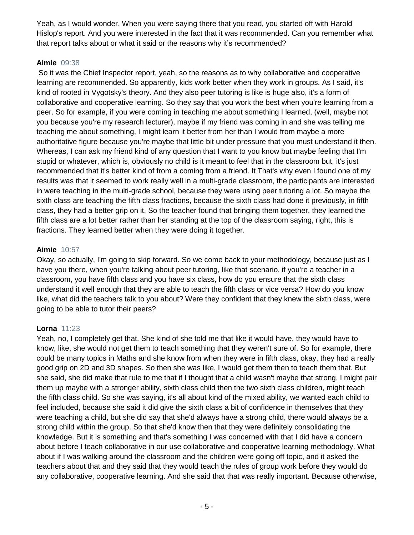Yeah, as I would wonder. When you were saying there that you read, you started off with Harold Hislop's report. And you were interested in the fact that it was recommended. Can you remember what that report talks about or what it said or the reasons why it's recommended?

# **Aimie** 09:38

So it was the Chief Inspector report, yeah, so the reasons as to why collaborative and cooperative learning are recommended. So apparently, kids work better when they work in groups. As I said, it's kind of rooted in Vygotsky's theory. And they also peer tutoring is like is huge also, it's a form of collaborative and cooperative learning. So they say that you work the best when you're learning from a peer. So for example, if you were coming in teaching me about something I learned, (well, maybe not you because you're my research lecturer), maybe if my friend was coming in and she was telling me teaching me about something, I might learn it better from her than I would from maybe a more authoritative figure because you're maybe that little bit under pressure that you must understand it then. Whereas, I can ask my friend kind of any question that I want to you know but maybe feeling that I'm stupid or whatever, which is, obviously no child is it meant to feel that in the classroom but, it's just recommended that it's better kind of from a coming from a friend. It That's why even I found one of my results was that it seemed to work really well in a multi-grade classroom, the participants are interested in were teaching in the multi-grade school, because they were using peer tutoring a lot. So maybe the sixth class are teaching the fifth class fractions, because the sixth class had done it previously, in fifth class, they had a better grip on it. So the teacher found that bringing them together, they learned the fifth class are a lot better rather than her standing at the top of the classroom saying, right, this is fractions. They learned better when they were doing it together.

# **Aimie** 10:57

Okay, so actually, I'm going to skip forward. So we come back to your methodology, because just as I have you there, when you're talking about peer tutoring, like that scenario, if you're a teacher in a classroom, you have fifth class and you have six class, how do you ensure that the sixth class understand it well enough that they are able to teach the fifth class or vice versa? How do you know like, what did the teachers talk to you about? Were they confident that they knew the sixth class, were going to be able to tutor their peers?

# **Lorna** 11:23

Yeah, no, I completely get that. She kind of she told me that like it would have, they would have to know, like, she would not get them to teach something that they weren't sure of. So for example, there could be many topics in Maths and she know from when they were in fifth class, okay, they had a really good grip on 2D and 3D shapes. So then she was like, I would get them then to teach them that. But she said, she did make that rule to me that if I thought that a child wasn't maybe that strong, I might pair them up maybe with a stronger ability, sixth class child then the two sixth class children, might teach the fifth class child. So she was saying, it's all about kind of the mixed ability, we wanted each child to feel included, because she said it did give the sixth class a bit of confidence in themselves that they were teaching a child, but she did say that she'd always have a strong child, there would always be a strong child within the group. So that she'd know then that they were definitely consolidating the knowledge. But it is something and that's something I was concerned with that I did have a concern about before I teach collaborative in our use collaborative and cooperative learning methodology. What about if I was walking around the classroom and the children were going off topic, and it asked the teachers about that and they said that they would teach the rules of group work before they would do any collaborative, cooperative learning. And she said that that was really important. Because otherwise,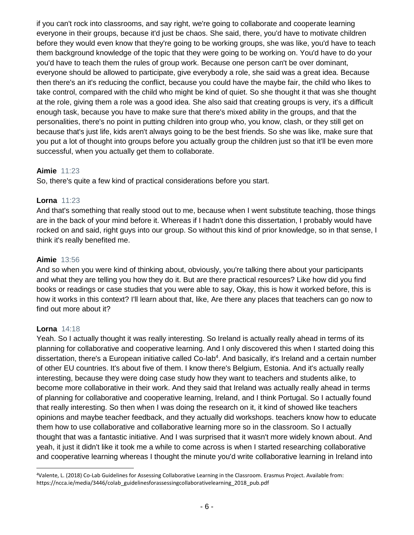if you can't rock into classrooms, and say right, we're going to collaborate and cooperate learning everyone in their groups, because it'd just be chaos. She said, there, you'd have to motivate children before they would even know that they're going to be working groups, she was like, you'd have to teach them background knowledge of the topic that they were going to be working on. You'd have to do your you'd have to teach them the rules of group work. Because one person can't be over dominant, everyone should be allowed to participate, give everybody a role, she said was a great idea. Because then there's an it's reducing the conflict, because you could have the maybe fair, the child who likes to take control, compared with the child who might be kind of quiet. So she thought it that was she thought at the role, giving them a role was a good idea. She also said that creating groups is very, it's a difficult enough task, because you have to make sure that there's mixed ability in the groups, and that the personalities, there's no point in putting children into group who, you know, clash, or they still get on because that's just life, kids aren't always going to be the best friends. So she was like, make sure that you put a lot of thought into groups before you actually group the children just so that it'll be even more successful, when you actually get them to collaborate.

# **Aimie** 11:23

So, there's quite a few kind of practical considerations before you start.

# **Lorna** 11:23

And that's something that really stood out to me, because when I went substitute teaching, those things are in the back of your mind before it. Whereas if I hadn't done this dissertation, I probably would have rocked on and said, right guys into our group. So without this kind of prior knowledge, so in that sense, I think it's really benefited me.

# **Aimie** 13:56

And so when you were kind of thinking about, obviously, you're talking there about your participants and what they are telling you how they do it. But are there practical resources? Like how did you find books or readings or case studies that you were able to say, Okay, this is how it worked before, this is how it works in this context? I'll learn about that, like, Are there any places that teachers can go now to find out more about it?

#### **Lorna** 14:18

 $\overline{a}$ 

Yeah. So I actually thought it was really interesting. So Ireland is actually really ahead in terms of its planning for collaborative and cooperative learning. And I only discovered this when I started doing this dissertation, there's a European initiative called Co-lab<sup>4</sup>. And basically, it's Ireland and a certain number of other EU countries. It's about five of them. I know there's Belgium, Estonia. And it's actually really interesting, because they were doing case study how they want to teachers and students alike, to become more collaborative in their work. And they said that Ireland was actually really ahead in terms of planning for collaborative and cooperative learning, Ireland, and I think Portugal. So I actually found that really interesting. So then when I was doing the research on it, it kind of showed like teachers opinions and maybe teacher feedback, and they actually did workshops. teachers know how to educate them how to use collaborative and collaborative learning more so in the classroom. So I actually thought that was a fantastic initiative. And I was surprised that it wasn't more widely known about. And yeah, it just it didn't like it took me a while to come across is when I started researching collaborative and cooperative learning whereas I thought the minute you'd write collaborative learning in Ireland into

<sup>4</sup>Valente, L. (2018) Co-Lab Guidelines for Assessing Collaborative Learning in the Classroom. Erasmus Project. Available from: https://ncca.ie/media/3446/colab\_guidelinesforassessingcollaborativelearning\_2018\_pub.pdf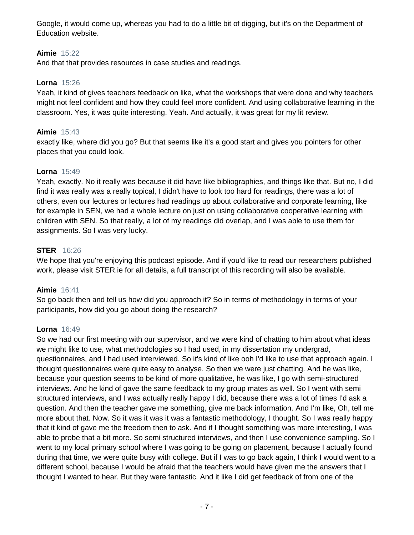Google, it would come up, whereas you had to do a little bit of digging, but it's on the Department of Education website.

# **Aimie** 15:22

And that that provides resources in case studies and readings.

# **Lorna** 15:26

Yeah, it kind of gives teachers feedback on like, what the workshops that were done and why teachers might not feel confident and how they could feel more confident. And using collaborative learning in the classroom. Yes, it was quite interesting. Yeah. And actually, it was great for my lit review.

# **Aimie** 15:43

exactly like, where did you go? But that seems like it's a good start and gives you pointers for other places that you could look.

# **Lorna** 15:49

Yeah, exactly. No it really was because it did have like bibliographies, and things like that. But no, I did find it was really was a really topical, I didn't have to look too hard for readings, there was a lot of others, even our lectures or lectures had readings up about collaborative and corporate learning, like for example in SEN, we had a whole lecture on just on using collaborative cooperative learning with children with SEN. So that really, a lot of my readings did overlap, and I was able to use them for assignments. So I was very lucky.

# **STER** 16:26

We hope that you're enjoying this podcast episode. And if you'd like to read our researchers published work, please visit STER.ie for all details, a full transcript of this recording will also be available.

#### **Aimie** 16:41

So go back then and tell us how did you approach it? So in terms of methodology in terms of your participants, how did you go about doing the research?

#### **Lorna** 16:49

So we had our first meeting with our supervisor, and we were kind of chatting to him about what ideas we might like to use, what methodologies so I had used, in my dissertation my undergrad, questionnaires, and I had used interviewed. So it's kind of like ooh I'd like to use that approach again. I thought questionnaires were quite easy to analyse. So then we were just chatting. And he was like, because your question seems to be kind of more qualitative, he was like, I go with semi-structured interviews. And he kind of gave the same feedback to my group mates as well. So I went with semi structured interviews, and I was actually really happy I did, because there was a lot of times I'd ask a question. And then the teacher gave me something, give me back information. And I'm like, Oh, tell me more about that. Now. So it was it was it was a fantastic methodology, I thought. So I was really happy that it kind of gave me the freedom then to ask. And if I thought something was more interesting, I was able to probe that a bit more. So semi structured interviews, and then I use convenience sampling. So I went to my local primary school where I was going to be going on placement, because I actually found during that time, we were quite busy with college. But if I was to go back again, I think I would went to a different school, because I would be afraid that the teachers would have given me the answers that I thought I wanted to hear. But they were fantastic. And it like I did get feedback of from one of the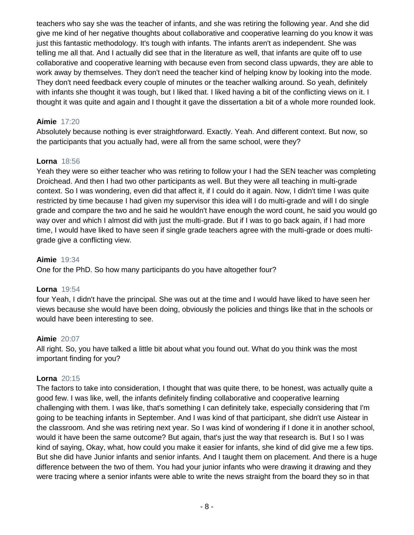teachers who say she was the teacher of infants, and she was retiring the following year. And she did give me kind of her negative thoughts about collaborative and cooperative learning do you know it was just this fantastic methodology. It's tough with infants. The infants aren't as independent. She was telling me all that. And I actually did see that in the literature as well, that infants are quite off to use collaborative and cooperative learning with because even from second class upwards, they are able to work away by themselves. They don't need the teacher kind of helping know by looking into the mode. They don't need feedback every couple of minutes or the teacher walking around. So yeah, definitely with infants she thought it was tough, but I liked that. I liked having a bit of the conflicting views on it. I thought it was quite and again and I thought it gave the dissertation a bit of a whole more rounded look.

# **Aimie** 17:20

Absolutely because nothing is ever straightforward. Exactly. Yeah. And different context. But now, so the participants that you actually had, were all from the same school, were they?

# **Lorna** 18:56

Yeah they were so either teacher who was retiring to follow your I had the SEN teacher was completing Droichead. And then I had two other participants as well. But they were all teaching in multi-grade context. So I was wondering, even did that affect it, if I could do it again. Now, I didn't time I was quite restricted by time because I had given my supervisor this idea will I do multi-grade and will I do single grade and compare the two and he said he wouldn't have enough the word count, he said you would go way over and which I almost did with just the multi-grade. But if I was to go back again, if I had more time, I would have liked to have seen if single grade teachers agree with the multi-grade or does multigrade give a conflicting view.

# **Aimie** 19:34

One for the PhD. So how many participants do you have altogether four?

# **Lorna** 19:54

four Yeah, I didn't have the principal. She was out at the time and I would have liked to have seen her views because she would have been doing, obviously the policies and things like that in the schools or would have been interesting to see.

# **Aimie** 20:07

All right. So, you have talked a little bit about what you found out. What do you think was the most important finding for you?

# **Lorna** 20:15

The factors to take into consideration, I thought that was quite there, to be honest, was actually quite a good few. I was like, well, the infants definitely finding collaborative and cooperative learning challenging with them. I was like, that's something I can definitely take, especially considering that I'm going to be teaching infants in September. And I was kind of that participant, she didn't use Aistear in the classroom. And she was retiring next year. So I was kind of wondering if I done it in another school, would it have been the same outcome? But again, that's just the way that research is. But I so I was kind of saying, Okay, what, how could you make it easier for infants, she kind of did give me a few tips. But she did have Junior infants and senior infants. And I taught them on placement. And there is a huge difference between the two of them. You had your junior infants who were drawing it drawing and they were tracing where a senior infants were able to write the news straight from the board they so in that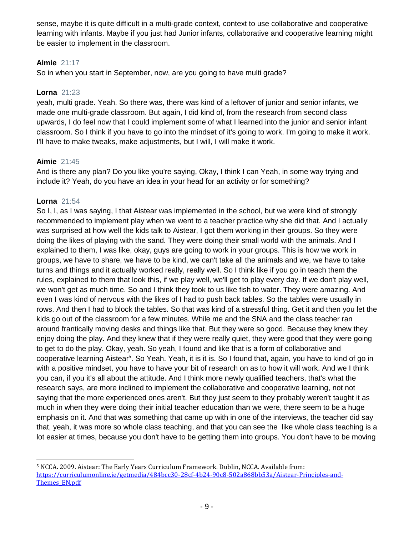sense, maybe it is quite difficult in a multi-grade context, context to use collaborative and cooperative learning with infants. Maybe if you just had Junior infants, collaborative and cooperative learning might be easier to implement in the classroom.

# **Aimie** 21:17

So in when you start in September, now, are you going to have multi grade?

#### **Lorna** 21:23

yeah, multi grade. Yeah. So there was, there was kind of a leftover of junior and senior infants, we made one multi-grade classroom. But again, I did kind of, from the research from second class upwards, I do feel now that I could implement some of what I learned into the junior and senior infant classroom. So I think if you have to go into the mindset of it's going to work. I'm going to make it work. I'll have to make tweaks, make adjustments, but I will, I will make it work.

#### **Aimie** 21:45

And is there any plan? Do you like you're saying, Okay, I think I can Yeah, in some way trying and include it? Yeah, do you have an idea in your head for an activity or for something?

#### **Lorna** 21:54

l

So I, I, as I was saying, I that Aistear was implemented in the school, but we were kind of strongly recommended to implement play when we went to a teacher practice why she did that. And I actually was surprised at how well the kids talk to Aistear, I got them working in their groups. So they were doing the likes of playing with the sand. They were doing their small world with the animals. And I explained to them, I was like, okay, guys are going to work in your groups. This is how we work in groups, we have to share, we have to be kind, we can't take all the animals and we, we have to take turns and things and it actually worked really, really well. So I think like if you go in teach them the rules, explained to them that look this, if we play well, we'll get to play every day. If we don't play well, we won't get as much time. So and I think they took to us like fish to water. They were amazing. And even I was kind of nervous with the likes of I had to push back tables. So the tables were usually in rows. And then I had to block the tables. So that was kind of a stressful thing. Get it and then you let the kids go out of the classroom for a few minutes. While me and the SNA and the class teacher ran around frantically moving desks and things like that. But they were so good. Because they knew they enjoy doing the play. And they knew that if they were really quiet, they were good that they were going to get to do the play. Okay, yeah. So yeah, I found and like that is a form of collaborative and cooperative learning Aistear<sup>5</sup>. So Yeah. Yeah, it is it is. So I found that, again, you have to kind of go in with a positive mindset, you have to have your bit of research on as to how it will work. And we I think you can, if you it's all about the attitude. And I think more newly qualified teachers, that's what the research says, are more inclined to implement the collaborative and cooperative learning, not not saying that the more experienced ones aren't. But they just seem to they probably weren't taught it as much in when they were doing their initial teacher education than we were, there seem to be a huge emphasis on it. And that was something that came up with in one of the interviews, the teacher did say that, yeah, it was more so whole class teaching, and that you can see the like whole class teaching is a lot easier at times, because you don't have to be getting them into groups. You don't have to be moving

<sup>5</sup> NCCA. 2009. Aistear: The Early Years Curriculum Framework. Dublin, NCCA. Available from: [https://curriculumonline.ie/getmedia/484bcc30-28cf-4b24-90c8-502a868bb53a/Aistear-Principles-and-](https://curriculumonline.ie/getmedia/484bcc30-28cf-4b24-90c8-502a868bb53a/Aistear-Principles-and-Themes_EN.pdf)[Themes\\_EN.pdf](https://curriculumonline.ie/getmedia/484bcc30-28cf-4b24-90c8-502a868bb53a/Aistear-Principles-and-Themes_EN.pdf)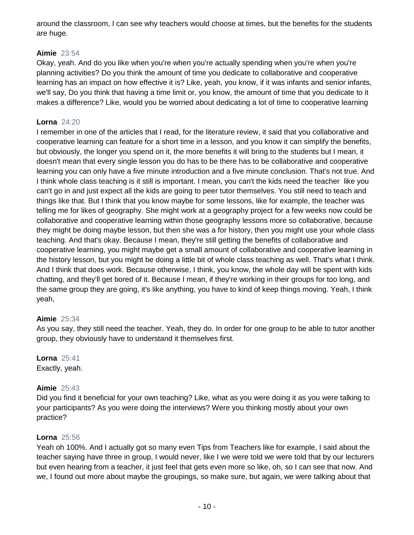around the classroom, I can see why teachers would choose at times, but the benefits for the students are huge.

# **Aimie** 23:54

Okay, yeah. And do you like when you're when you're actually spending when you're when you're planning activities? Do you think the amount of time you dedicate to collaborative and cooperative learning has an impact on how effective it is? Like, yeah, you know, if it was infants and senior infants, we'll say, Do you think that having a time limit or, you know, the amount of time that you dedicate to it makes a difference? Like, would you be worried about dedicating a lot of time to cooperative learning

# **Lorna** 24:20

I remember in one of the articles that I read, for the literature review, it said that you collaborative and cooperative learning can feature for a short time in a lesson, and you know it can simplify the benefits, but obviously, the longer you spend on it, the more benefits it will bring to the students but I mean, it doesn't mean that every single lesson you do has to be there has to be collaborative and cooperative learning you can only have a five minute introduction and a five minute conclusion. That's not true. And I think whole class teaching is it still is important. I mean, you can't the kids need the teacher like you can't go in and just expect all the kids are going to peer tutor themselves. You still need to teach and things like that. But I think that you know maybe for some lessons, like for example, the teacher was telling me for likes of geography. She might work at a geography project for a few weeks now could be collaborative and cooperative learning within those geography lessons more so collaborative, because they might be doing maybe lesson, but then she was a for history, then you might use your whole class teaching. And that's okay. Because I mean, they're still getting the benefits of collaborative and cooperative learning, you might maybe get a small amount of collaborative and cooperative learning in the history lesson, but you might be doing a little bit of whole class teaching as well. That's what I think. And I think that does work. Because otherwise, I think, you know, the whole day will be spent with kids chatting, and they'll get bored of it. Because I mean, if they're working in their groups for too long, and the same group they are going, it's like anything, you have to kind of keep things moving. Yeah, I think yeah,

# **Aimie** 25:34

As you say, they still need the teacher. Yeah, they do. In order for one group to be able to tutor another group, they obviously have to understand it themselves first.

# **Lorna** 25:41

Exactly, yeah.

# **Aimie** 25:43

Did you find it beneficial for your own teaching? Like, what as you were doing it as you were talking to your participants? As you were doing the interviews? Were you thinking mostly about your own practice?

# **Lorna** 25:56

Yeah oh 100%. And I actually got so many even Tips from Teachers like for example, I said about the teacher saying have three in group, I would never, like I we were told we were told that by our lecturers but even hearing from a teacher, it just feel that gets even more so like, oh, so I can see that now. And we, I found out more about maybe the groupings, so make sure, but again, we were talking about that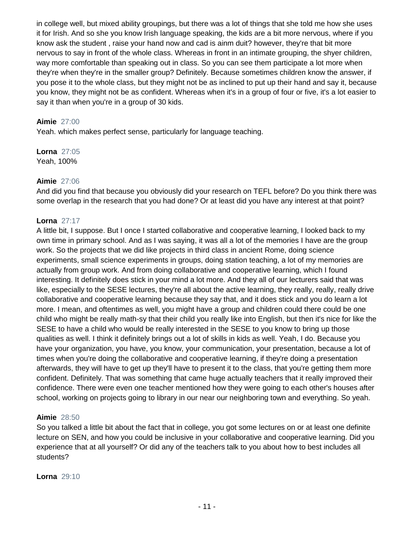in college well, but mixed ability groupings, but there was a lot of things that she told me how she uses it for Irish. And so she you know Irish language speaking, the kids are a bit more nervous, where if you know ask the student , raise your hand now and cad is ainm duit? however, they're that bit more nervous to say in front of the whole class. Whereas in front in an intimate grouping, the shyer children, way more comfortable than speaking out in class. So you can see them participate a lot more when they're when they're in the smaller group? Definitely. Because sometimes children know the answer, if you pose it to the whole class, but they might not be as inclined to put up their hand and say it, because you know, they might not be as confident. Whereas when it's in a group of four or five, it's a lot easier to say it than when you're in a group of 30 kids.

# **Aimie** 27:00

Yeah. which makes perfect sense, particularly for language teaching.

**Lorna** 27:05 Yeah, 100%

#### **Aimie** 27:06

And did you find that because you obviously did your research on TEFL before? Do you think there was some overlap in the research that you had done? Or at least did you have any interest at that point?

# **Lorna** 27:17

A little bit, I suppose. But I once I started collaborative and cooperative learning, I looked back to my own time in primary school. And as I was saying, it was all a lot of the memories I have are the group work. So the projects that we did like projects in third class in ancient Rome, doing science experiments, small science experiments in groups, doing station teaching, a lot of my memories are actually from group work. And from doing collaborative and cooperative learning, which I found interesting. It definitely does stick in your mind a lot more. And they all of our lecturers said that was like, especially to the SESE lectures, they're all about the active learning, they really, really, really drive collaborative and cooperative learning because they say that, and it does stick and you do learn a lot more. I mean, and oftentimes as well, you might have a group and children could there could be one child who might be really math-sy that their child you really like into English, but then it's nice for like the SESE to have a child who would be really interested in the SESE to you know to bring up those qualities as well. I think it definitely brings out a lot of skills in kids as well. Yeah, I do. Because you have your organization, you have, you know, your communication, your presentation, because a lot of times when you're doing the collaborative and cooperative learning, if they're doing a presentation afterwards, they will have to get up they'll have to present it to the class, that you're getting them more confident. Definitely. That was something that came huge actually teachers that it really improved their confidence. There were even one teacher mentioned how they were going to each other's houses after school, working on projects going to library in our near our neighboring town and everything. So yeah.

#### **Aimie** 28:50

So you talked a little bit about the fact that in college, you got some lectures on or at least one definite lecture on SEN, and how you could be inclusive in your collaborative and cooperative learning. Did you experience that at all yourself? Or did any of the teachers talk to you about how to best includes all students?

**Lorna** 29:10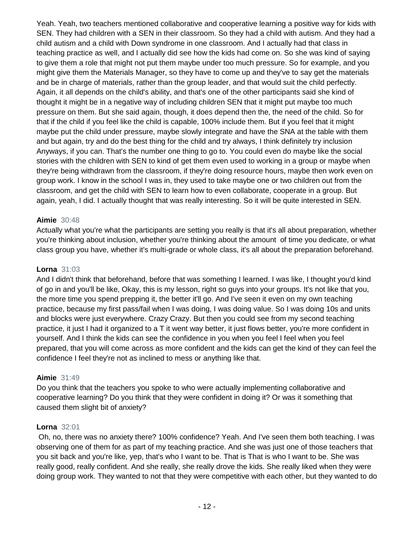Yeah. Yeah, two teachers mentioned collaborative and cooperative learning a positive way for kids with SEN. They had children with a SEN in their classroom. So they had a child with autism. And they had a child autism and a child with Down syndrome in one classroom. And I actually had that class in teaching practice as well, and I actually did see how the kids had come on. So she was kind of saying to give them a role that might not put them maybe under too much pressure. So for example, and you might give them the Materials Manager, so they have to come up and they've to say get the materials and be in charge of materials, rather than the group leader, and that would suit the child perfectly. Again, it all depends on the child's ability, and that's one of the other participants said she kind of thought it might be in a negative way of including children SEN that it might put maybe too much pressure on them. But she said again, though, it does depend then the, the need of the child. So for that if the child if you feel like the child is capable, 100% include them. But if you feel that it might maybe put the child under pressure, maybe slowly integrate and have the SNA at the table with them and but again, try and do the best thing for the child and try always, I think definitely try inclusion Anyways, if you can. That's the number one thing to go to. You could even do maybe like the social stories with the children with SEN to kind of get them even used to working in a group or maybe when they're being withdrawn from the classroom, if they're doing resource hours, maybe then work even on group work. I know in the school I was in, they used to take maybe one or two children out from the classroom, and get the child with SEN to learn how to even collaborate, cooperate in a group. But again, yeah, I did. I actually thought that was really interesting. So it will be quite interested in SEN.

# **Aimie** 30:48

Actually what you're what the participants are setting you really is that it's all about preparation, whether you're thinking about inclusion, whether you're thinking about the amount of time you dedicate, or what class group you have, whether it's multi-grade or whole class, it's all about the preparation beforehand.

#### **Lorna** 31:03

And I didn't think that beforehand, before that was something I learned. I was like, I thought you'd kind of go in and you'll be like, Okay, this is my lesson, right so guys into your groups. It's not like that you, the more time you spend prepping it, the better it'll go. And I've seen it even on my own teaching practice, because my first pass/fail when I was doing, I was doing value. So I was doing 10s and units and blocks were just everywhere. Crazy Crazy. But then you could see from my second teaching practice, it just I had it organized to a T it went way better, it just flows better, you're more confident in yourself. And I think the kids can see the confidence in you when you feel I feel when you feel prepared, that you will come across as more confident and the kids can get the kind of they can feel the confidence I feel they're not as inclined to mess or anything like that.

#### **Aimie** 31:49

Do you think that the teachers you spoke to who were actually implementing collaborative and cooperative learning? Do you think that they were confident in doing it? Or was it something that caused them slight bit of anxiety?

#### **Lorna** 32:01

Oh, no, there was no anxiety there? 100% confidence? Yeah. And I've seen them both teaching. I was observing one of them for as part of my teaching practice. And she was just one of those teachers that you sit back and you're like, yep, that's who I want to be. That is That is who I want to be. She was really good, really confident. And she really, she really drove the kids. She really liked when they were doing group work. They wanted to not that they were competitive with each other, but they wanted to do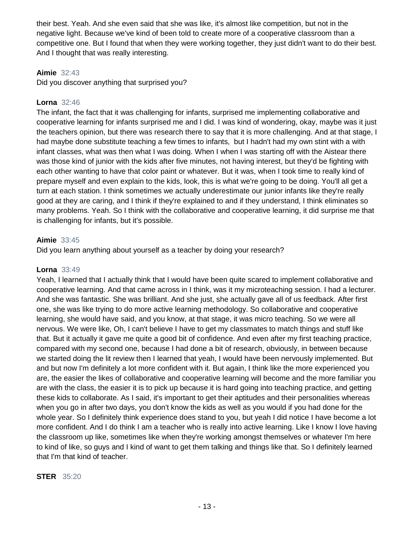their best. Yeah. And she even said that she was like, it's almost like competition, but not in the negative light. Because we've kind of been told to create more of a cooperative classroom than a competitive one. But I found that when they were working together, they just didn't want to do their best. And I thought that was really interesting.

#### **Aimie** 32:43

Did you discover anything that surprised you?

#### **Lorna** 32:46

The infant, the fact that it was challenging for infants, surprised me implementing collaborative and cooperative learning for infants surprised me and I did. I was kind of wondering, okay, maybe was it just the teachers opinion, but there was research there to say that it is more challenging. And at that stage, I had maybe done substitute teaching a few times to infants, but I hadn't had my own stint with a with infant classes, what was then what I was doing. When I when I was starting off with the Aistear there was those kind of junior with the kids after five minutes, not having interest, but they'd be fighting with each other wanting to have that color paint or whatever. But it was, when I took time to really kind of prepare myself and even explain to the kids, look, this is what we're going to be doing. You'll all get a turn at each station. I think sometimes we actually underestimate our junior infants like they're really good at they are caring, and I think if they're explained to and if they understand, I think eliminates so many problems. Yeah. So I think with the collaborative and cooperative learning, it did surprise me that is challenging for infants, but it's possible.

#### **Aimie** 33:45

Did you learn anything about yourself as a teacher by doing your research?

#### **Lorna** 33:49

Yeah, I learned that I actually think that I would have been quite scared to implement collaborative and cooperative learning. And that came across in I think, was it my microteaching session. I had a lecturer. And she was fantastic. She was brilliant. And she just, she actually gave all of us feedback. After first one, she was like trying to do more active learning methodology. So collaborative and cooperative learning, she would have said, and you know, at that stage, it was micro teaching. So we were all nervous. We were like, Oh, I can't believe I have to get my classmates to match things and stuff like that. But it actually it gave me quite a good bit of confidence. And even after my first teaching practice, compared with my second one, because I had done a bit of research, obviously, in between because we started doing the lit review then I learned that yeah, I would have been nervously implemented. But and but now I'm definitely a lot more confident with it. But again, I think like the more experienced you are, the easier the likes of collaborative and cooperative learning will become and the more familiar you are with the class, the easier it is to pick up because it is hard going into teaching practice, and getting these kids to collaborate. As I said, it's important to get their aptitudes and their personalities whereas when you go in after two days, you don't know the kids as well as you would if you had done for the whole year. So I definitely think experience does stand to you, but yeah I did notice I have become a lot more confident. And I do think I am a teacher who is really into active learning. Like I know I love having the classroom up like, sometimes like when they're working amongst themselves or whatever I'm here to kind of like, so guys and I kind of want to get them talking and things like that. So I definitely learned that I'm that kind of teacher.

#### **STER** 35:20